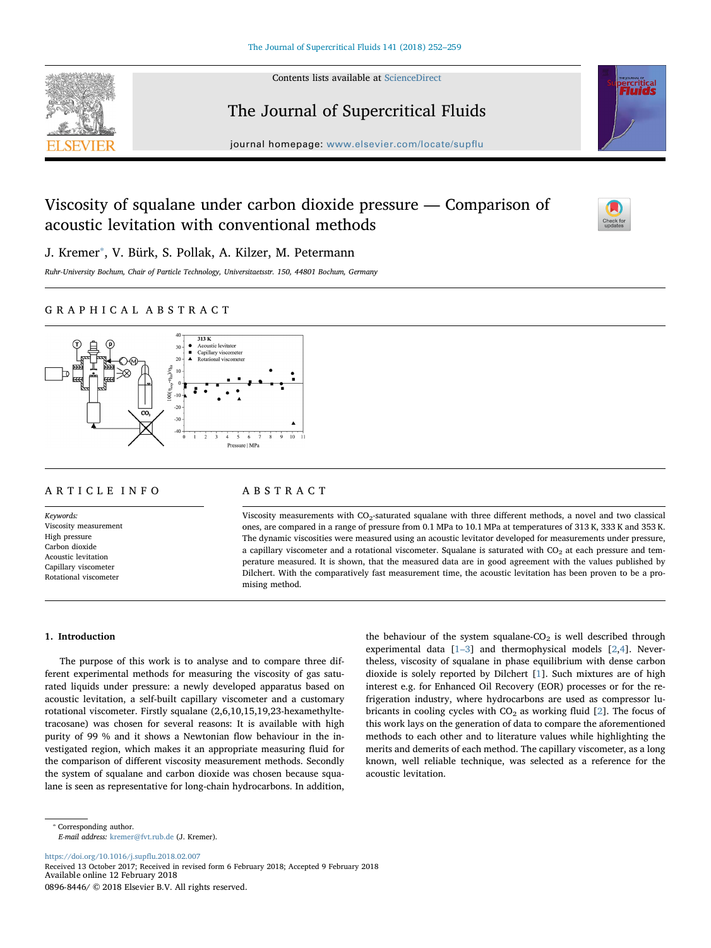

Contents lists available at [ScienceDirect](http://www.sciencedirect.com/science/journal/08968446)

# The Journal of Supercritical Fluids



journal homepage: [www.elsevier.com/locate/sup](https://www.elsevier.com/locate/supflu)flu

# Viscosity of squalane under carbon dioxide pressure — Comparison of acoustic levitation with conventional methods



J. Kremer<sup>\*</sup>, V. Bürk, S. Pollak, A. Kilzer, M. Petermann

Ruhr-University Bochum, Chair of Particle Technology, Universitaetsstr. 150, 44801 Bochum, Germany

# GRAPHICAL ABSTRACT



# ARTICLE INFO

Keywords: Viscosity measurement High pressure Carbon dioxide Acoustic levitation Capillary viscometer Rotational viscometer

# ABSTRACT

Viscosity measurements with CO<sub>2</sub>-saturated squalane with three different methods, a novel and two classical ones, are compared in a range of pressure from 0.1 MPa to 10.1 MPa at temperatures of 313 K, 333 K and 353 K. The dynamic viscosities were measured using an acoustic levitator developed for measurements under pressure, a capillary viscometer and a rotational viscometer. Squalane is saturated with  $CO<sub>2</sub>$  at each pressure and temperature measured. It is shown, that the measured data are in good agreement with the values published by Dilchert. With the comparatively fast measurement time, the acoustic levitation has been proven to be a promising method.

# 1. Introduction

The purpose of this work is to analyse and to compare three different experimental methods for measuring the viscosity of gas saturated liquids under pressure: a newly developed apparatus based on acoustic levitation, a self-built capillary viscometer and a customary rotational viscometer. Firstly squalane (2,6,10,15,19,23-hexamethyltetracosane) was chosen for several reasons: It is available with high purity of 99 % and it shows a Newtonian flow behaviour in the investigated region, which makes it an appropriate measuring fluid for the comparison of different viscosity measurement methods. Secondly the system of squalane and carbon dioxide was chosen because squalane is seen as representative for long-chain hydrocarbons. In addition,

the behaviour of the system squalane- $CO<sub>2</sub>$  is well described through experimental data [\[1](#page-6-0)–3] and thermophysical models [[2](#page-6-1)[,4\]](#page-6-2). Nevertheless, viscosity of squalane in phase equilibrium with dense carbon dioxide is solely reported by Dilchert [\[1\]](#page-6-0). Such mixtures are of high interest e.g. for Enhanced Oil Recovery (EOR) processes or for the refrigeration industry, where hydrocarbons are used as compressor lubricants in cooling cycles with  $CO<sub>2</sub>$  as working fluid [\[2\]](#page-6-1). The focus of this work lays on the generation of data to compare the aforementioned methods to each other and to literature values while highlighting the merits and demerits of each method. The capillary viscometer, as a long known, well reliable technique, was selected as a reference for the acoustic levitation.

E-mail address: [kremer@fvt.rub.de](mailto:kremer@fvt.rub.de) (J. Kremer).

[https://doi.org/10.1016/j.sup](https://doi.org/10.1016/j.supflu.2018.02.007)flu.2018.02.007 Received 13 October 2017; Received in revised form 6 February 2018; Accepted 9 February 2018 Available online 12 February 2018 0896-8446/ © 2018 Elsevier B.V. All rights reserved.

<span id="page-0-0"></span><sup>⁎</sup> Corresponding author.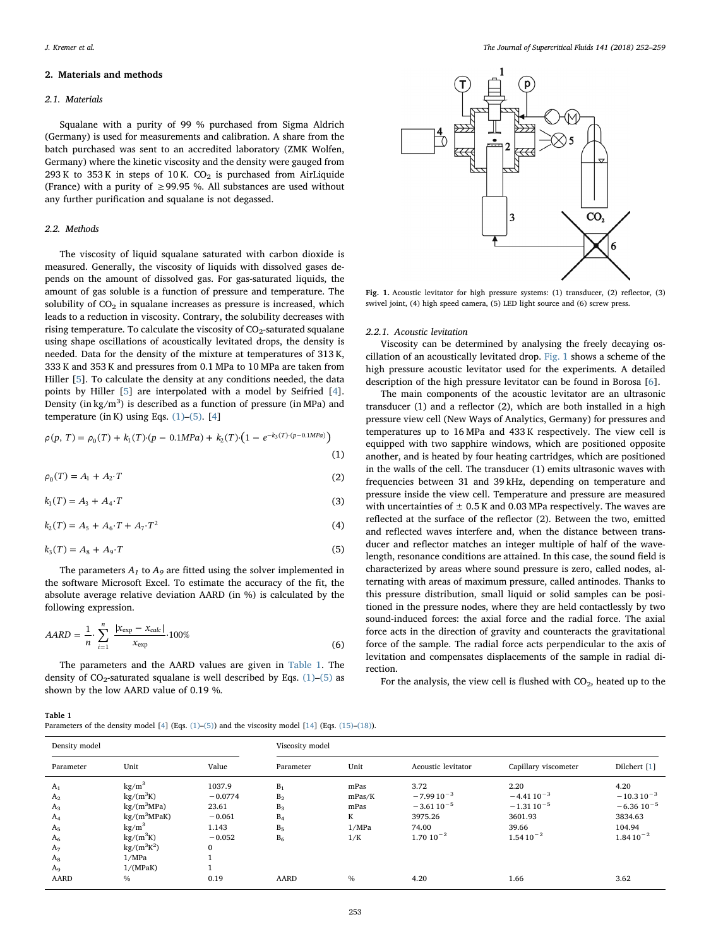## 2. Materials and methods

## 2.1. Materials

Squalane with a purity of 99 % purchased from Sigma Aldrich (Germany) is used for measurements and calibration. A share from the batch purchased was sent to an accredited laboratory (ZMK Wolfen, Germany) where the kinetic viscosity and the density were gauged from  $293$  K to  $353$  K in steps of  $10$  K.  $CO<sub>2</sub>$  is purchased from AirLiquide (France) with a purity of  $\geq$  99.95 %. All substances are used without any further purification and squalane is not degassed.

## 2.2. Methods

<span id="page-1-2"></span>Table 1

The viscosity of liquid squalane saturated with carbon dioxide is measured. Generally, the viscosity of liquids with dissolved gases depends on the amount of dissolved gas. For gas-saturated liquids, the amount of gas soluble is a function of pressure and temperature. The solubility of  $CO<sub>2</sub>$  in squalane increases as pressure is increased, which leads to a reduction in viscosity. Contrary, the solubility decreases with rising temperature. To calculate the viscosity of  $CO<sub>2</sub>$ -saturated squalane using shape oscillations of acoustically levitated drops, the density is needed. Data for the density of the mixture at temperatures of 313 K, 333 K and 353 K and pressures from 0.1 MPa to 10 MPa are taken from Hiller [[5](#page-6-3)]. To calculate the density at any conditions needed, the data points by Hiller [\[5\]](#page-6-3) are interpolated with a model by Seifried [[4](#page-6-2)]. Density (in kg/m<sup>3</sup>) is described as a function of pressure (in MPa) and temperature (in K) using Eqs.  $(1)$ – $(5)$ . [\[4\]](#page-6-2)

<span id="page-1-0"></span>
$$
\rho(p, T) = \rho_0(T) + k_1(T) \cdot (p - 0.1 MPa) + k_2(T) \cdot (1 - e^{-k_3(T) \cdot (p - 0.1 MPa)})
$$
\n(1)

$$
\rho_0(T) = A_1 + A_2 \cdot T \tag{2}
$$

$$
k_1(T) = A_3 + A_4 \cdot T \tag{3}
$$

<span id="page-1-1"></span>
$$
k_2(T) = A_5 + A_6 \cdot T + A_7 \cdot T^2 \tag{4}
$$

$$
k_3(T) = A_8 + A_9 \cdot T \tag{5}
$$

The parameters  $A_1$  to  $A_9$  are fitted using the solver implemented in the software Microsoft Excel. To estimate the accuracy of the fit, the absolute average relative deviation AARD (in %) is calculated by the following expression.

$$
AARD = \frac{1}{n} \cdot \sum_{i=1}^{n} \frac{|x_{\exp} - x_{\text{calc}}|}{x_{\exp}} \cdot 100\%
$$
 (6)

The parameters and the AARD values are given in [Table 1](#page-1-2). The density of  $CO_2$ -saturated squalane is well described by Eqs. [\(1\)](#page-1-0)–[\(5\)](#page-1-1) as shown by the low AARD value of 0.19 %.

Parameters of the density model [[4](#page-6-2)] (Eqs. [\(1\)](#page-1-0)–[\(5\)](#page-1-1)) and the viscosity model [\[14](#page-7-0)] (Eqs. [\(15\)](#page-4-0)–[\(18\)](#page-4-1)).

<span id="page-1-3"></span>

Fig. 1. Acoustic levitator for high pressure systems: (1) transducer, (2) reflector, (3) swivel joint, (4) high speed camera, (5) LED light source and (6) screw press.

#### 2.2.1. Acoustic levitation

Viscosity can be determined by analysing the freely decaying oscillation of an acoustically levitated drop. [Fig. 1](#page-1-3) shows a scheme of the high pressure acoustic levitator used for the experiments. A detailed description of the high pressure levitator can be found in Borosa [\[6\]](#page-6-4).

The main components of the acoustic levitator are an ultrasonic transducer (1) and a reflector (2), which are both installed in a high pressure view cell (New Ways of Analytics, Germany) for pressures and temperatures up to 16 MPa and 433 K respectively. The view cell is equipped with two sapphire windows, which are positioned opposite another, and is heated by four heating cartridges, which are positioned in the walls of the cell. The transducer (1) emits ultrasonic waves with frequencies between 31 and 39 kHz, depending on temperature and pressure inside the view cell. Temperature and pressure are measured with uncertainties of  $\pm$  0.5 K and 0.03 MPa respectively. The waves are reflected at the surface of the reflector (2). Between the two, emitted and reflected waves interfere and, when the distance between transducer and reflector matches an integer multiple of half of the wavelength, resonance conditions are attained. In this case, the sound field is characterized by areas where sound pressure is zero, called nodes, alternating with areas of maximum pressure, called antinodes. Thanks to this pressure distribution, small liquid or solid samples can be positioned in the pressure nodes, where they are held contactlessly by two sound-induced forces: the axial force and the radial force. The axial force acts in the direction of gravity and counteracts the gravitational force of the sample. The radial force acts perpendicular to the axis of levitation and compensates displacements of the sample in radial direction.

For the analysis, the view cell is flushed with  $CO<sub>2</sub>$ , heated up to the

| Density model                                                                                            |                                                                                                                                                                           |                                                                               | Viscosity model                                                      |                                             |                                                                                |                                                                               |                                                                                 |
|----------------------------------------------------------------------------------------------------------|---------------------------------------------------------------------------------------------------------------------------------------------------------------------------|-------------------------------------------------------------------------------|----------------------------------------------------------------------|---------------------------------------------|--------------------------------------------------------------------------------|-------------------------------------------------------------------------------|---------------------------------------------------------------------------------|
| Parameter                                                                                                | Unit                                                                                                                                                                      | Value                                                                         | Parameter                                                            | Unit                                        | Acoustic levitator                                                             | Capillary viscometer                                                          | Dilchert [1]                                                                    |
| $A_1$<br>A <sub>2</sub><br>$A_3$<br>$A_4$<br>A <sub>5</sub><br>A <sub>6</sub><br>A <sub>7</sub><br>$A_8$ | kg/m <sup>3</sup><br>$kg/(m^3K)$<br>$kg/(m^3MPa)$<br>$kg/(m^3MPaK)$<br>$\text{kg/m}^3$<br>$\text{kg}/(\text{m}^3\text{K})$<br>$\text{kg}/(\text{m}^3\text{K}^2)$<br>1/MPa | 1037.9<br>$-0.0774$<br>23.61<br>$-0.061$<br>1.143<br>$-0.052$<br>$\mathbf{0}$ | $B_1$<br>B <sub>2</sub><br>$B_3$<br>$B_4$<br>B <sub>5</sub><br>$B_6$ | mPas<br>mPas/K<br>mPas<br>K<br>1/MPa<br>1/K | 3.72<br>$-7.9910^{-3}$<br>$-3.6110^{-5}$<br>3975.26<br>74.00<br>$1.70 10^{-2}$ | 2.20<br>$-4.4110^{-3}$<br>$-1.3110^{-5}$<br>3601.93<br>39.66<br>$1.5410^{-2}$ | 4.20<br>$-10.310^{-3}$<br>$-6.36 10^{-5}$<br>3834.63<br>104.94<br>$1.8410^{-2}$ |
| A <sub>9</sub><br><b>AARD</b>                                                                            | 1/(MPaK)<br>$\frac{0}{0}$                                                                                                                                                 | 0.19                                                                          | <b>AARD</b>                                                          | $\frac{0}{0}$                               | 4.20                                                                           | 1.66                                                                          | 3.62                                                                            |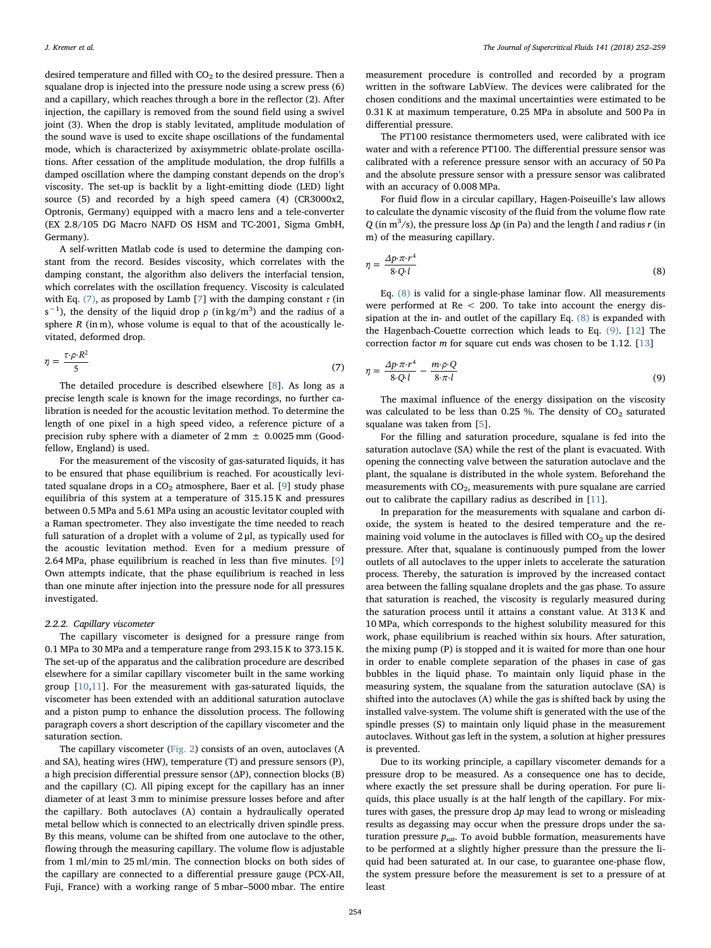desired temperature and filled with  $CO<sub>2</sub>$  to the desired pressure. Then a squalane drop is injected into the pressure node using a screw press (6) and a capillary, which reaches through a bore in the reflector (2). After injection, the capillary is removed from the sound field using a swivel joint (3). When the drop is stably levitated, amplitude modulation of the sound wave is used to excite shape oscillations of the fundamental mode, which is characterized by axisymmetric oblate-prolate oscillations. After cessation of the amplitude modulation, the drop fulfills a damped oscillation where the damping constant depends on the drop's viscosity. The set-up is backlit by a light-emitting diode (LED) light source (5) and recorded by a high speed camera (4) (CR3000x2, Optronis, Germany) equipped with a macro lens and a tele-converter (EX 2.8/105 DG Macro NAFD OS HSM and TC-2001, Sigma GmbH, Germany).

A self-written Matlab code is used to determine the damping constant from the record. Besides viscosity, which correlates with the damping constant, the algorithm also delivers the interfacial tension, which correlates with the oscillation frequency. Viscosity is calculated with Eq. [\(7\)](#page-2-0), as proposed by Lamb [\[7\]](#page-6-5) with the damping constant  $\tau$  (in  $s^{-1}$ ), the density of the liquid drop  $\rho$  (in kg/m<sup>3</sup>) and the radius of a sphere  $R$  (in m), whose volume is equal to that of the acoustically levitated, deformed drop.

<span id="page-2-0"></span>
$$
\eta = \frac{\tau \cdot \rho \cdot R^2}{5} \tag{7}
$$

The detailed procedure is described elsewhere [[8](#page-6-6)]. As long as a precise length scale is known for the image recordings, no further calibration is needed for the acoustic levitation method. To determine the length of one pixel in a high speed video, a reference picture of a precision ruby sphere with a diameter of  $2 \text{ mm} \pm 0.0025 \text{ mm}$  (Goodfellow, England) is used.

For the measurement of the viscosity of gas-saturated liquids, it has to be ensured that phase equilibrium is reached. For acoustically levitated squalane drops in a  $CO<sub>2</sub>$  atmosphere, Baer et al. [\[9\]](#page-6-7) study phase equilibria of this system at a temperature of 315.15 K and pressures between 0.5 MPa and 5.61 MPa using an acoustic levitator coupled with a Raman spectrometer. They also investigate the time needed to reach full saturation of a droplet with a volume of  $2 \mu l$ , as typically used for the acoustic levitation method. Even for a medium pressure of 2.64 MPa, phase equilibrium is reached in less than five minutes. [[9](#page-6-7)] Own attempts indicate, that the phase equilibrium is reached in less than one minute after injection into the pressure node for all pressures investigated.

# 2.2.2. Capillary viscometer

The capillary viscometer is designed for a pressure range from 0.1 MPa to 30 MPa and a temperature range from 293.15 K to 373.15 K. The set-up of the apparatus and the calibration procedure are described elsewhere for a similar capillary viscometer built in the same working group [\[10](#page-7-1),[11\]](#page-7-2). For the measurement with gas-saturated liquids, the viscometer has been extended with an additional saturation autoclave and a piston pump to enhance the dissolution process. The following paragraph covers a short description of the capillary viscometer and the saturation section.

The capillary viscometer ([Fig. 2](#page-3-0)) consists of an oven, autoclaves (A and SA), heating wires (HW), temperature (T) and pressure sensors (P), a high precision differential pressure sensor (ΔP), connection blocks (B) and the capillary (C). All piping except for the capillary has an inner diameter of at least 3 mm to minimise pressure losses before and after the capillary. Both autoclaves (A) contain a hydraulically operated metal bellow which is connected to an electrically driven spindle press. By this means, volume can be shifted from one autoclave to the other, flowing through the measuring capillary. The volume flow is adjustable from 1 ml/min to 25 ml/min. The connection blocks on both sides of the capillary are connected to a differential pressure gauge (PCX-AII, Fuji, France) with a working range of 5 mbar–5000 mbar. The entire

measurement procedure is controlled and recorded by a program written in the software LabView. The devices were calibrated for the chosen conditions and the maximal uncertainties were estimated to be 0.31 K at maximum temperature, 0.25 MPa in absolute and 500 Pa in differential pressure.

The PT100 resistance thermometers used, were calibrated with ice water and with a reference PT100. The differential pressure sensor was calibrated with a reference pressure sensor with an accuracy of 50 Pa and the absolute pressure sensor with a pressure sensor was calibrated with an accuracy of 0.008 MPa.

For fluid flow in a circular capillary, Hagen-Poiseuille's law allows to calculate the dynamic viscosity of the fluid from the volume flow rate Q (in  $m^3/s$ ), the pressure loss  $\Delta p$  (in Pa) and the length l and radius r (in m) of the measuring capillary.

<span id="page-2-1"></span>
$$
\eta = \frac{\Delta p \cdot \pi \cdot r^4}{8 \cdot Q \cdot l} \tag{8}
$$

Eq. [\(8\)](#page-2-1) is valid for a single-phase laminar flow. All measurements were performed at Re < 200. To take into account the energy dissipation at the in- and outlet of the capillary Eq. [\(8\)](#page-2-1) is expanded with the Hagenbach-Couette correction which leads to Eq. [\(9\).](#page-2-2) [\[12](#page-7-3)] The correction factor m for square cut ends was chosen to be 1.12. [[13\]](#page-7-4)

<span id="page-2-2"></span>
$$
\eta = \frac{\Delta p \cdot \pi \cdot r^4}{8 \cdot Q \cdot l} - \frac{m \cdot \rho \cdot Q}{8 \cdot \pi \cdot l} \tag{9}
$$

The maximal influence of the energy dissipation on the viscosity was calculated to be less than 0.25 %. The density of  $CO<sub>2</sub>$  saturated squalane was taken from [\[5\]](#page-6-3).

For the filling and saturation procedure, squalane is fed into the saturation autoclave (SA) while the rest of the plant is evacuated. With opening the connecting valve between the saturation autoclave and the plant, the squalane is distributed in the whole system. Beforehand the measurements with  $CO<sub>2</sub>$ , measurements with pure squalane are carried out to calibrate the capillary radius as described in [[11\]](#page-7-2).

In preparation for the measurements with squalane and carbon dioxide, the system is heated to the desired temperature and the remaining void volume in the autoclaves is filled with  $CO<sub>2</sub>$  up the desired pressure. After that, squalane is continuously pumped from the lower outlets of all autoclaves to the upper inlets to accelerate the saturation process. Thereby, the saturation is improved by the increased contact area between the falling squalane droplets and the gas phase. To assure that saturation is reached, the viscosity is regularly measured during the saturation process until it attains a constant value. At 313 K and 10 MPa, which corresponds to the highest solubility measured for this work, phase equilibrium is reached within six hours. After saturation, the mixing pump (P) is stopped and it is waited for more than one hour in order to enable complete separation of the phases in case of gas bubbles in the liquid phase. To maintain only liquid phase in the measuring system, the squalane from the saturation autoclave (SA) is shifted into the autoclaves (A) while the gas is shifted back by using the installed valve-system. The volume shift is generated with the use of the spindle presses (S) to maintain only liquid phase in the measurement autoclaves. Without gas left in the system, a solution at higher pressures is prevented.

Due to its working principle, a capillary viscometer demands for a pressure drop to be measured. As a consequence one has to decide, where exactly the set pressure shall be during operation. For pure liquids, this place usually is at the half length of the capillary. For mixtures with gases, the pressure drop  $\Delta p$  may lead to wrong or misleading results as degassing may occur when the pressure drops under the saturation pressure  $p_{sat}$ . To avoid bubble formation, measurements have to be performed at a slightly higher pressure than the pressure the liquid had been saturated at. In our case, to guarantee one-phase flow, the system pressure before the measurement is set to a pressure of at least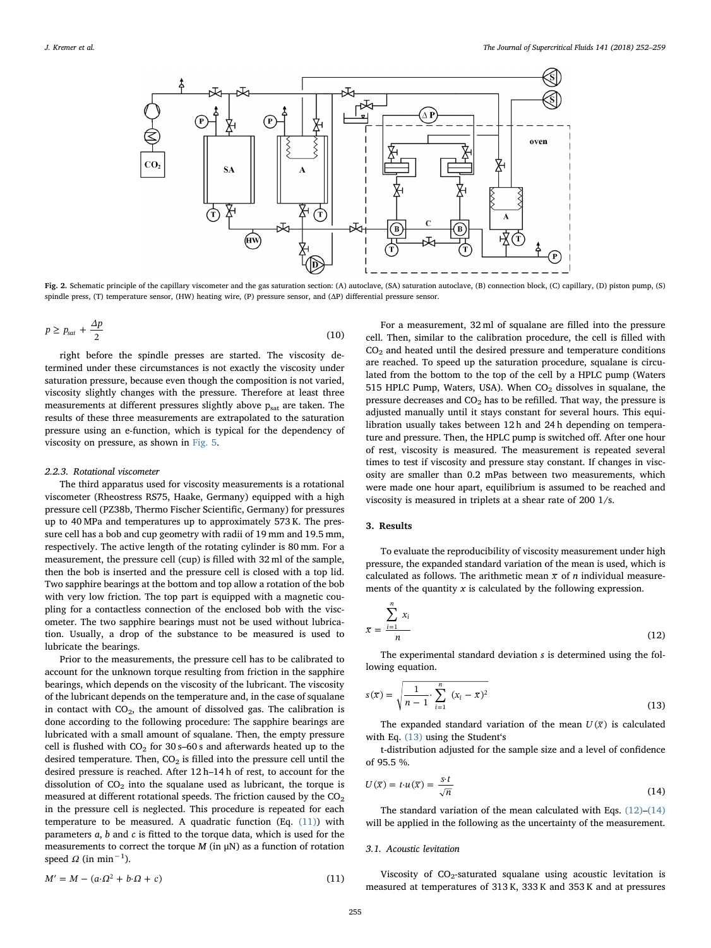<span id="page-3-0"></span>

Fig. 2. Schematic principle of the capillary viscometer and the gas saturation section: (A) autoclave (SA) saturation autoclave, (B) connection block, (C) capillary, (D) piston pump, (S) spindle press, (T) temperature sensor, (HW) heating wire, (P) pressure sensor, and (ΔP) differential pressure sensor.

$$
p \ge p_{sat} + \frac{\Delta p}{2} \tag{10}
$$

right before the spindle presses are started. The viscosity determined under these circumstances is not exactly the viscosity under saturation pressure, because even though the composition is not varied, viscosity slightly changes with the pressure. Therefore at least three measurements at different pressures slightly above  $p_{sat}$  are taken. The results of these three measurements are extrapolated to the saturation pressure using an e-function, which is typical for the dependency of viscosity on pressure, as shown in [Fig. 5.](#page-4-2)

### 2.2.3. Rotational viscometer

The third apparatus used for viscosity measurements is a rotational viscometer (Rheostress RS75, Haake, Germany) equipped with a high pressure cell (PZ38b, Thermo Fischer Scientific, Germany) for pressures up to 40 MPa and temperatures up to approximately 573 K. The pressure cell has a bob and cup geometry with radii of 19 mm and 19.5 mm, respectively. The active length of the rotating cylinder is 80 mm. For a measurement, the pressure cell (cup) is filled with 32 ml of the sample, then the bob is inserted and the pressure cell is closed with a top lid. Two sapphire bearings at the bottom and top allow a rotation of the bob with very low friction. The top part is equipped with a magnetic coupling for a contactless connection of the enclosed bob with the viscometer. The two sapphire bearings must not be used without lubrication. Usually, a drop of the substance to be measured is used to lubricate the bearings.

Prior to the measurements, the pressure cell has to be calibrated to account for the unknown torque resulting from friction in the sapphire bearings, which depends on the viscosity of the lubricant. The viscosity of the lubricant depends on the temperature and, in the case of squalane in contact with  $CO<sub>2</sub>$ , the amount of dissolved gas. The calibration is done according to the following procedure: The sapphire bearings are lubricated with a small amount of squalane. Then, the empty pressure cell is flushed with  $CO<sub>2</sub>$  for 30 s–60 s and afterwards heated up to the desired temperature. Then,  $CO<sub>2</sub>$  is filled into the pressure cell until the desired pressure is reached. After 12 h–14 h of rest, to account for the dissolution of  $CO<sub>2</sub>$  into the squalane used as lubricant, the torque is measured at different rotational speeds. The friction caused by the  $CO<sub>2</sub>$ in the pressure cell is neglected. This procedure is repeated for each temperature to be measured. A quadratic function (Eq.  $(11)$ ) with parameters a, b and c is fitted to the torque data, which is used for the measurements to correct the torque  $M$  (in  $\mu$ N) as a function of rotation speed  $\Omega$  (in min<sup>-1</sup>).

<span id="page-3-1"></span>
$$
M' = M - (a \cdot \Omega^2 + b \cdot \Omega + c) \tag{11}
$$

For a measurement, 32 ml of squalane are filled into the pressure cell. Then, similar to the calibration procedure, the cell is filled with  $CO<sub>2</sub>$  and heated until the desired pressure and temperature conditions are reached. To speed up the saturation procedure, squalane is circulated from the bottom to the top of the cell by a HPLC pump (Waters 515 HPLC Pump, Waters, USA). When  $CO<sub>2</sub>$  dissolves in squalane, the pressure decreases and  $CO<sub>2</sub>$  has to be refilled. That way, the pressure is adjusted manually until it stays constant for several hours. This equilibration usually takes between 12 h and 24 h depending on temperature and pressure. Then, the HPLC pump is switched off. After one hour of rest, viscosity is measured. The measurement is repeated several times to test if viscosity and pressure stay constant. If changes in viscosity are smaller than 0.2 mPas between two measurements, which were made one hour apart, equilibrium is assumed to be reached and viscosity is measured in triplets at a shear rate of 200 1/s.

# 3. Results

To evaluate the reproducibility of viscosity measurement under high pressure, the expanded standard variation of the mean is used, which is calculated as follows. The arithmetic mean  $\bar{x}$  of *n* individual measurements of the quantity  $x$  is calculated by the following expression.

<span id="page-3-3"></span>
$$
\overline{x} = \frac{\sum_{i=1}^{n} x_i}{n}
$$
 (12)

<span id="page-3-2"></span>The experimental standard deviation s is determined using the following equation.

$$
s(\overline{x}) = \sqrt{\frac{1}{n-1} \cdot \sum_{i=1}^{n} (x_i - \overline{x})^2}
$$
 (13)

The expanded standard variation of the mean  $U(\overline{x})$  is calculated with Eq. [\(13\)](#page-3-2) using the Student's

<span id="page-3-4"></span>t-distribution adjusted for the sample size and a level of confidence of 95.5 %.

$$
U(\overline{x}) = t \cdot u(\overline{x}) = \frac{s \cdot t}{\sqrt{n}} \tag{14}
$$

The standard variation of the mean calculated with Eqs. [\(12\)](#page-3-3)–[\(14\)](#page-3-4) will be applied in the following as the uncertainty of the measurement.

#### 3.1. Acoustic levitation

Viscosity of  $CO<sub>2</sub>$ -saturated squalane using acoustic levitation is measured at temperatures of 313 K, 333 K and 353 K and at pressures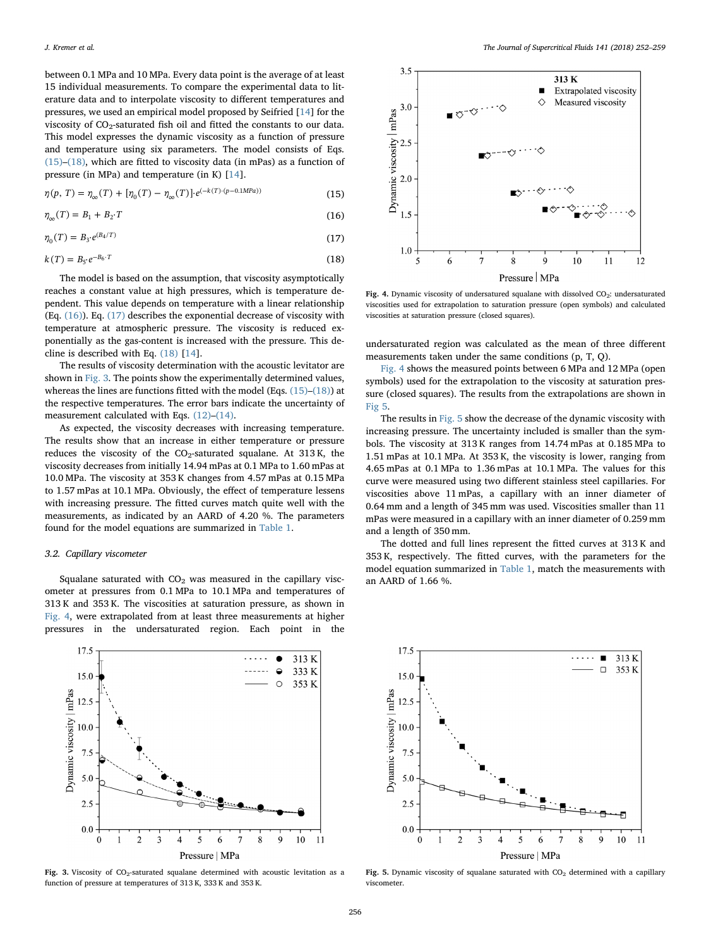between 0.1 MPa and 10 MPa. Every data point is the average of at least 15 individual measurements. To compare the experimental data to literature data and to interpolate viscosity to different temperatures and pressures, we used an empirical model proposed by Seifried [\[14](#page-7-0)] for the viscosity of  $CO_2$ -saturated fish oil and fitted the constants to our data. This model expresses the dynamic viscosity as a function of pressure and temperature using six parameters. The model consists of Eqs. [\(15\)](#page-4-0)–[\(18\),](#page-4-1) which are fitted to viscosity data (in mPas) as a function of pressure (in MPa) and temperature (in K) [[14\]](#page-7-0).

<span id="page-4-0"></span>
$$
\eta(p, T) = \eta_{\infty}(T) + [\eta_0(T) - \eta_{\infty}(T)] \cdot e^{(-k(T) \cdot (p - 0.1) \cdot (p - 0.1)} \tag{15}
$$

<span id="page-4-3"></span>
$$
\eta_{\infty}(T) = B_1 + B_2 \cdot T \tag{16}
$$

<span id="page-4-4"></span>
$$
\eta_0(T) = B_3 \cdot e^{(B_4/T)} \tag{17}
$$

<span id="page-4-1"></span>
$$
k(T) = B_5 \cdot e^{-B_6 \cdot T} \tag{18}
$$

The model is based on the assumption, that viscosity asymptotically reaches a constant value at high pressures, which is temperature dependent. This value depends on temperature with a linear relationship (Eq.  $(16)$ ). Eq.  $(17)$  describes the exponential decrease of viscosity with temperature at atmospheric pressure. The viscosity is reduced exponentially as the gas-content is increased with the pressure. This decline is described with Eq. [\(18\)](#page-4-1) [\[14](#page-7-0)].

The results of viscosity determination with the acoustic levitator are shown in [Fig. 3.](#page-4-5) The points show the experimentally determined values, whereas the lines are functions fitted with the model (Eqs. [\(15\)](#page-4-0)–[\(18\)\)](#page-4-1) at the respective temperatures. The error bars indicate the uncertainty of measurement calculated with Eqs. [\(12\)](#page-3-3)–[\(14\).](#page-3-4)

As expected, the viscosity decreases with increasing temperature. The results show that an increase in either temperature or pressure reduces the viscosity of the  $CO_2$ -saturated squalane. At 313 K, the viscosity decreases from initially 14.94 mPas at 0.1 MPa to 1.60 mPas at 10.0 MPa. The viscosity at 353 K changes from 4.57 mPas at 0.15 MPa to 1.57 mPas at 10.1 MPa. Obviously, the effect of temperature lessens with increasing pressure. The fitted curves match quite well with the measurements, as indicated by an AARD of 4.20 %. The parameters found for the model equations are summarized in [Table 1](#page-1-2).

# 3.2. Capillary viscometer

Squalane saturated with  $CO<sub>2</sub>$  was measured in the capillary viscometer at pressures from 0.1 MPa to 10.1 MPa and temperatures of 313 K and 353 K. The viscosities at saturation pressure, as shown in [Fig. 4](#page-4-6), were extrapolated from at least three measurements at higher pressures in the undersaturated region. Each point in the

<span id="page-4-5"></span>

Fig. 3. Viscosity of  $CO<sub>2</sub>$ -saturated squalane determined with acoustic levitation as a function of pressure at temperatures of 313 K, 333 K and 353 K.

<span id="page-4-6"></span>

Fig. 4. Dynamic viscosity of undersatured squalane with dissolved CO<sub>2</sub>: undersaturated viscosities used for extrapolation to saturation pressure (open symbols) and calculated viscosities at saturation pressure (closed squares).

undersaturated region was calculated as the mean of three different measurements taken under the same conditions (p, T, Q).

[Fig. 4](#page-4-6) shows the measured points between 6 MPa and 12 MPa (open symbols) used for the extrapolation to the viscosity at saturation pressure (closed squares). The results from the extrapolations are shown in [Fig 5.](#page-4-2)

The results in [Fig. 5](#page-4-2) show the decrease of the dynamic viscosity with increasing pressure. The uncertainty included is smaller than the symbols. The viscosity at 313 K ranges from 14.74 mPas at 0.185 MPa to 1.51 mPas at 10.1 MPa. At 353 K, the viscosity is lower, ranging from 4.65 mPas at 0.1 MPa to 1.36 mPas at 10.1 MPa. The values for this curve were measured using two different stainless steel capillaries. For viscosities above 11 mPas, a capillary with an inner diameter of 0.64 mm and a length of 345 mm was used. Viscosities smaller than 11 mPas were measured in a capillary with an inner diameter of 0.259 mm and a length of 350 mm.

The dotted and full lines represent the fitted curves at 313 K and 353 K, respectively. The fitted curves, with the parameters for the model equation summarized in [Table 1,](#page-1-2) match the measurements with an AARD of 1.66 %.

<span id="page-4-2"></span>

Fig. 5. Dynamic viscosity of squalane saturated with  $CO<sub>2</sub>$  determined with a capillary viscometer.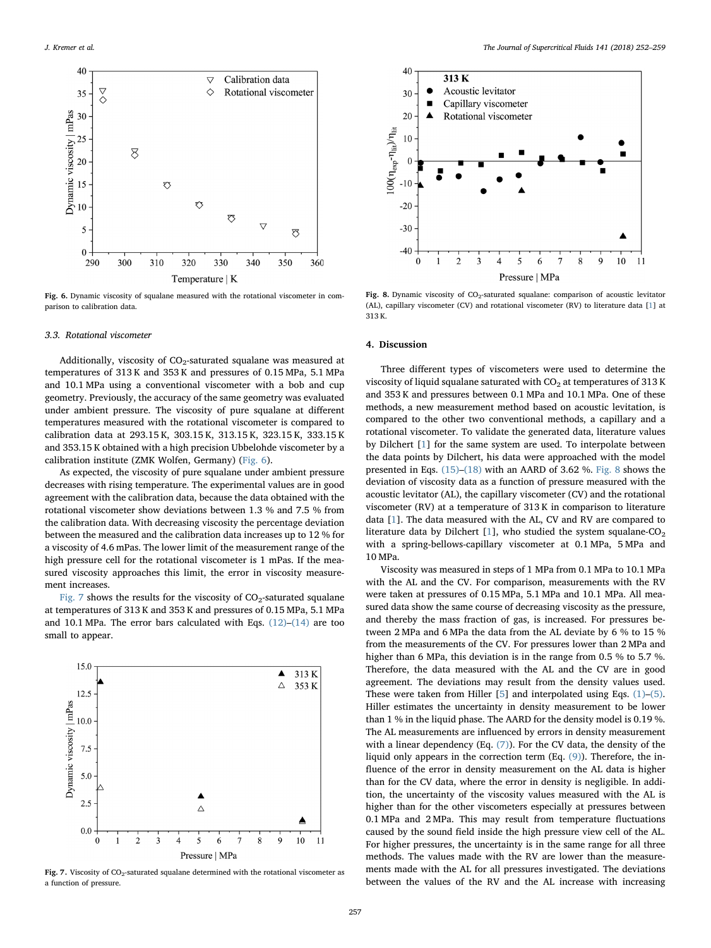<span id="page-5-0"></span>

Fig. 6. Dynamic viscosity of squalane measured with the rotational viscometer in comparison to calibration data.

## 3.3. Rotational viscometer

Additionally, viscosity of  $CO<sub>2</sub>$ -saturated squalane was measured at temperatures of 313 K and 353 K and pressures of 0.15 MPa, 5.1 MPa and 10.1 MPa using a conventional viscometer with a bob and cup geometry. Previously, the accuracy of the same geometry was evaluated under ambient pressure. The viscosity of pure squalane at different temperatures measured with the rotational viscometer is compared to calibration data at 293.15 K, 303.15 K, 313.15 K, 323.15 K, 333.15 K and 353.15 K obtained with a high precision Ubbelohde viscometer by a calibration institute (ZMK Wolfen, Germany) [\(Fig. 6\)](#page-5-0).

As expected, the viscosity of pure squalane under ambient pressure decreases with rising temperature. The experimental values are in good agreement with the calibration data, because the data obtained with the rotational viscometer show deviations between 1.3 % and 7.5 % from the calibration data. With decreasing viscosity the percentage deviation between the measured and the calibration data increases up to 12 % for a viscosity of 4.6 mPas. The lower limit of the measurement range of the high pressure cell for the rotational viscometer is 1 mPas. If the measured viscosity approaches this limit, the error in viscosity measurement increases.

[Fig. 7](#page-5-1) shows the results for the viscosity of  $CO<sub>2</sub>$ -saturated squalane at temperatures of 313 K and 353 K and pressures of 0.15 MPa, 5.1 MPa and 10.1 MPa. The error bars calculated with Eqs.  $(12)$ – $(14)$  are too small to appear.

<span id="page-5-1"></span>

Fig. 7. Viscosity of  $CO_2$ -saturated squalane determined with the rotational viscometer as a function of pressure.

<span id="page-5-2"></span>

Fig. 8. Dynamic viscosity of  $CO_2$ -saturated squalane: comparison of acoustic levitator (AL), capillary viscometer (CV) and rotational viscometer (RV) to literature data [[1](#page-6-0)] at 313 K.

# 4. Discussion

Three different types of viscometers were used to determine the viscosity of liquid squalane saturated with  $CO<sub>2</sub>$  at temperatures of 313 K and 353 K and pressures between 0.1 MPa and 10.1 MPa. One of these methods, a new measurement method based on acoustic levitation, is compared to the other two conventional methods, a capillary and a rotational viscometer. To validate the generated data, literature values by Dilchert [[1](#page-6-0)] for the same system are used. To interpolate between the data points by Dilchert, his data were approached with the model presented in Eqs. [\(15\)](#page-4-0)–[\(18\)](#page-4-1) with an AARD of 3.62 %. [Fig. 8](#page-5-2) shows the deviation of viscosity data as a function of pressure measured with the acoustic levitator (AL), the capillary viscometer (CV) and the rotational viscometer (RV) at a temperature of 313 K in comparison to literature data [[1](#page-6-0)]. The data measured with the AL, CV and RV are compared to literature data by Dilchert [[1](#page-6-0)], who studied the system squalane-CO<sub>2</sub> with a spring-bellows-capillary viscometer at 0.1 MPa, 5 MPa and 10 MPa.

Viscosity was measured in steps of 1 MPa from 0.1 MPa to 10.1 MPa with the AL and the CV. For comparison, measurements with the RV were taken at pressures of 0.15 MPa, 5.1 MPa and 10.1 MPa. All measured data show the same course of decreasing viscosity as the pressure, and thereby the mass fraction of gas, is increased. For pressures between 2 MPa and 6 MPa the data from the AL deviate by 6 % to 15 % from the measurements of the CV. For pressures lower than 2 MPa and higher than 6 MPa, this deviation is in the range from 0.5 % to 5.7 %. Therefore, the data measured with the AL and the CV are in good agreement. The deviations may result from the density values used. These were taken from Hiller [[5](#page-6-3)] and interpolated using Eqs. [\(1\)](#page-1-0)–[\(5\)](#page-1-1). Hiller estimates the uncertainty in density measurement to be lower than 1 % in the liquid phase. The AARD for the density model is 0.19 %. The AL measurements are influenced by errors in density measurement with a linear dependency (Eq. [\(7\)\)](#page-2-0). For the CV data, the density of the liquid only appears in the correction term (Eq. [\(9\)](#page-2-2)). Therefore, the influence of the error in density measurement on the AL data is higher than for the CV data, where the error in density is negligible. In addition, the uncertainty of the viscosity values measured with the AL is higher than for the other viscometers especially at pressures between 0.1 MPa and 2 MPa. This may result from temperature fluctuations caused by the sound field inside the high pressure view cell of the AL. For higher pressures, the uncertainty is in the same range for all three methods. The values made with the RV are lower than the measurements made with the AL for all pressures investigated. The deviations between the values of the RV and the AL increase with increasing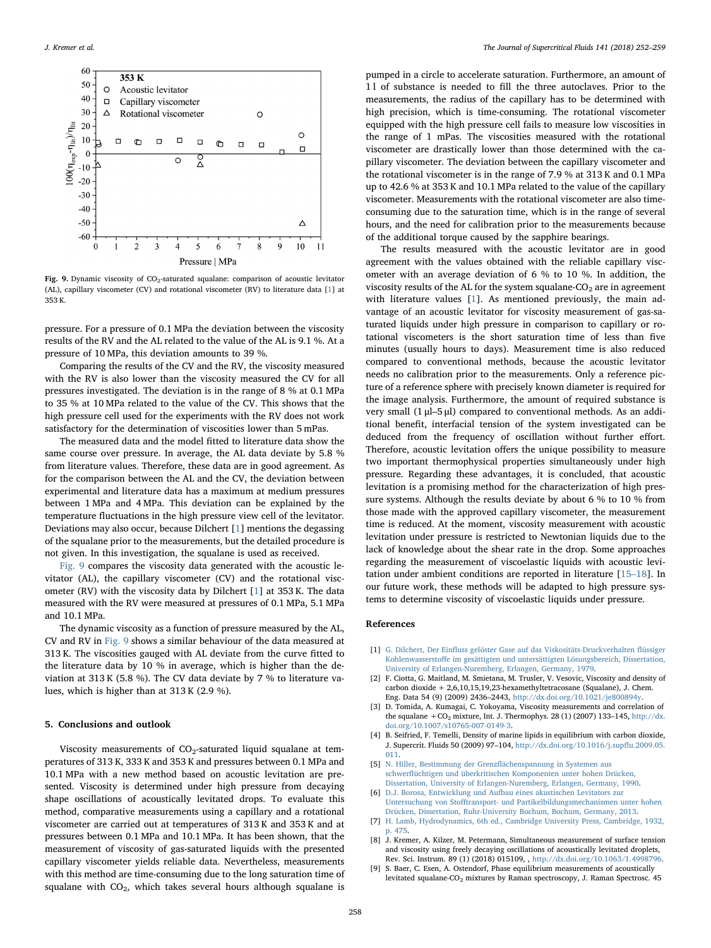<span id="page-6-8"></span>

Fig. 9. Dynamic viscosity of  $CO<sub>2</sub>$ -saturated squalane: comparison of acoustic levitator (AL), capillary viscometer (CV) and rotational viscometer (RV) to literature data [[1](#page-6-0)] at 353 K.

pressure. For a pressure of 0.1 MPa the deviation between the viscosity results of the RV and the AL related to the value of the AL is 9.1 %. At a pressure of 10 MPa, this deviation amounts to 39 %.

Comparing the results of the CV and the RV, the viscosity measured with the RV is also lower than the viscosity measured the CV for all pressures investigated. The deviation is in the range of 8 % at 0.1 MPa to 35 % at 10 MPa related to the value of the CV. This shows that the high pressure cell used for the experiments with the RV does not work satisfactory for the determination of viscosities lower than 5 mPas.

The measured data and the model fitted to literature data show the same course over pressure. In average, the AL data deviate by 5.8 % from literature values. Therefore, these data are in good agreement. As for the comparison between the AL and the CV, the deviation between experimental and literature data has a maximum at medium pressures between 1 MPa and 4 MPa. This deviation can be explained by the temperature fluctuations in the high pressure view cell of the levitator. Deviations may also occur, because Dilchert [\[1\]](#page-6-0) mentions the degassing of the squalane prior to the measurements, but the detailed procedure is not given. In this investigation, the squalane is used as received.

[Fig. 9](#page-6-8) compares the viscosity data generated with the acoustic levitator (AL), the capillary viscometer (CV) and the rotational viscometer (RV) with the viscosity data by Dilchert [[1](#page-6-0)] at 353 K. The data measured with the RV were measured at pressures of 0.1 MPa, 5.1 MPa and 10.1 MPa.

The dynamic viscosity as a function of pressure measured by the AL, CV and RV in [Fig. 9](#page-6-8) shows a similar behaviour of the data measured at 313 K. The viscosities gauged with AL deviate from the curve fitted to the literature data by 10 % in average, which is higher than the deviation at 313 K (5.8 %). The CV data deviate by 7 % to literature values, which is higher than at 313 K (2.9 %).

# 5. Conclusions and outlook

Viscosity measurements of  $CO_2$ -saturated liquid squalane at temperatures of 313 K, 333 K and 353 K and pressures between 0.1 MPa and 10.1 MPa with a new method based on acoustic levitation are presented. Viscosity is determined under high pressure from decaying shape oscillations of acoustically levitated drops. To evaluate this method, comparative measurements using a capillary and a rotational viscometer are carried out at temperatures of 313 K and 353 K and at pressures between 0.1 MPa and 10.1 MPa. It has been shown, that the measurement of viscosity of gas-saturated liquids with the presented capillary viscometer yields reliable data. Nevertheless, measurements with this method are time-consuming due to the long saturation time of squalane with  $CO<sub>2</sub>$ , which takes several hours although squalane is

pumped in a circle to accelerate saturation. Furthermore, an amount of 1 l of substance is needed to fill the three autoclaves. Prior to the measurements, the radius of the capillary has to be determined with high precision, which is time-consuming. The rotational viscometer equipped with the high pressure cell fails to measure low viscosities in the range of 1 mPas. The viscosities measured with the rotational viscometer are drastically lower than those determined with the capillary viscometer. The deviation between the capillary viscometer and the rotational viscometer is in the range of 7.9 % at 313 K and 0.1 MPa up to 42.6 % at 353 K and 10.1 MPa related to the value of the capillary viscometer. Measurements with the rotational viscometer are also timeconsuming due to the saturation time, which is in the range of several hours, and the need for calibration prior to the measurements because of the additional torque caused by the sapphire bearings.

The results measured with the acoustic levitator are in good agreement with the values obtained with the reliable capillary viscometer with an average deviation of 6 % to 10 %. In addition, the viscosity results of the AL for the system squalane- $CO<sub>2</sub>$  are in agreement with literature values [[1](#page-6-0)]. As mentioned previously, the main advantage of an acoustic levitator for viscosity measurement of gas-saturated liquids under high pressure in comparison to capillary or rotational viscometers is the short saturation time of less than five minutes (usually hours to days). Measurement time is also reduced compared to conventional methods, because the acoustic levitator needs no calibration prior to the measurements. Only a reference picture of a reference sphere with precisely known diameter is required for the image analysis. Furthermore, the amount of required substance is very small (1 μl–5 μl) compared to conventional methods. As an additional benefit, interfacial tension of the system investigated can be deduced from the frequency of oscillation without further effort. Therefore, acoustic levitation offers the unique possibility to measure two important thermophysical properties simultaneously under high pressure. Regarding these advantages, it is concluded, that acoustic levitation is a promising method for the characterization of high pressure systems. Although the results deviate by about 6 % to 10 % from those made with the approved capillary viscometer, the measurement time is reduced. At the moment, viscosity measurement with acoustic levitation under pressure is restricted to Newtonian liquids due to the lack of knowledge about the shear rate in the drop. Some approaches regarding the measurement of viscoelastic liquids with acoustic levitation under ambient conditions are reported in literature [\[15](#page-7-5)–18]. In our future work, these methods will be adapted to high pressure systems to determine viscosity of viscoelastic liquids under pressure.

## References

- <span id="page-6-0"></span>[1] G. Dilchert, Der Einfl[uss gelöster Gase auf das Viskositäts-Druckverhalten](http://refhub.elsevier.com/S0896-8446(17)30749-0/sbref0005) flüssiger Kohlenwasserstoff[e im gesättigten und untersättigten Lösungsbereich, Dissertation,](http://refhub.elsevier.com/S0896-8446(17)30749-0/sbref0005) [University of Erlangen-Nuremberg, Erlangen, Germany, 1979.](http://refhub.elsevier.com/S0896-8446(17)30749-0/sbref0005)
- <span id="page-6-1"></span>[2] F. Ciotta, G. Maitland, M. Smietana, M. Trusler, V. Vesovic, Viscosity and density of carbon dioxide + 2,6,10,15,19,23-hexamethyltetracosane (Squalane), J. Chem. Eng. Data 54 (9) (2009) 2436–2443, [http://dx.doi.org/10.1021/je800894y.](http://dx.doi.org/10.1021/je800894y)
- [3] D. Tomida, A. Kumagai, C. Yokoyama, Viscosity measurements and correlation of the squalane  $+CO_2$  mixture, Int. J. Thermophys. 28 (1) (2007) 133-145, [http://dx.](http://dx.doi.org/10.1007/s10765-007-0149-3) [doi.org/10.1007/s10765-007-0149-3.](http://dx.doi.org/10.1007/s10765-007-0149-3)
- <span id="page-6-2"></span>[4] B. Seifried, F. Temelli, Density of marine lipids in equilibrium with carbon dioxide, J. Supercrit. Fluids 50 (2009) 97–104, [http://dx.doi.org/10.1016/j.sup](http://dx.doi.org/10.1016/j.supflu.2009.05.011)flu.2009.05. [011.](http://dx.doi.org/10.1016/j.supflu.2009.05.011)
- <span id="page-6-3"></span>[5] [N. Hiller, Bestimmung der Grenz](http://refhub.elsevier.com/S0896-8446(17)30749-0/sbref0025)flächenspannung in Systemen aus schwerfl[üchtigen und überkritischen Komponenten unter hohen Drücken,](http://refhub.elsevier.com/S0896-8446(17)30749-0/sbref0025) [Dissertation, University of Erlangen-Nuremberg, Erlangen, Germany, 1990.](http://refhub.elsevier.com/S0896-8446(17)30749-0/sbref0025)
- <span id="page-6-4"></span>[6] [D.J. Borosa, Entwicklung und Aufbau eines akustischen Levitators zur](http://refhub.elsevier.com/S0896-8446(17)30749-0/sbref0030) Untersuchung von Stoff[transport- und Partikelbildungsmechanismen unter hohen](http://refhub.elsevier.com/S0896-8446(17)30749-0/sbref0030)
- <span id="page-6-5"></span>[Drücken, Dissertation, Ruhr-University Bochum, Bochum, Germany, 2013.](http://refhub.elsevier.com/S0896-8446(17)30749-0/sbref0030) [7] [H. Lamb, Hydrodynamics, 6th ed., Cambridge University Press, Cambridge, 1932,](http://refhub.elsevier.com/S0896-8446(17)30749-0/sbref0035) [p. 475.](http://refhub.elsevier.com/S0896-8446(17)30749-0/sbref0035)
- <span id="page-6-6"></span>[8] J. Kremer, A. Kilzer, M. Petermann, Simultaneous measurement of surface tension and viscosity using freely decaying oscillations of acoustically levitated droplets, Rev. Sci. Instrum. 89 (1) (2018) 015109, , [http://dx.doi.org/10.1063/1.4998796.](http://dx.doi.org/10.1063/1.4998796)
- <span id="page-6-7"></span>[9] S. Baer, C. Esen, A. Ostendorf, Phase equilibrium measurements of acoustically levitated squalane-CO<sub>2</sub> mixtures by Raman spectroscopy, J. Raman Spectrosc. 45